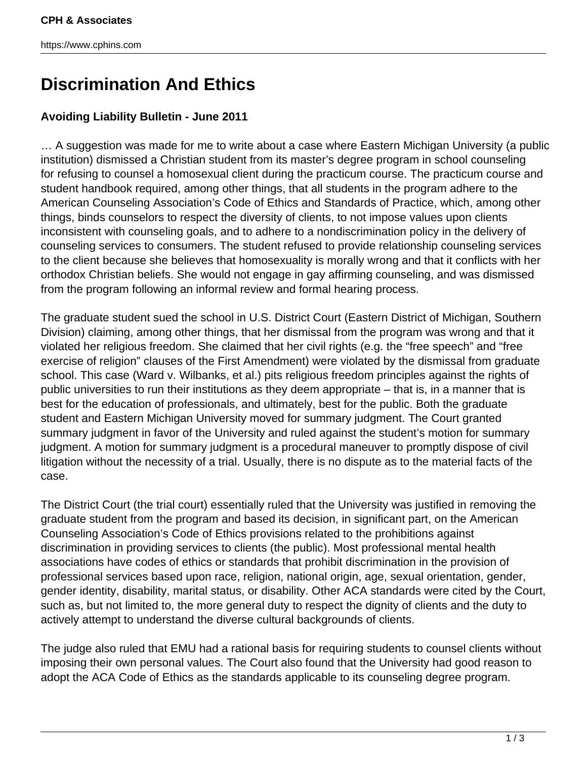## **Discrimination And Ethics**

## **Avoiding Liability Bulletin - June 2011**

… A suggestion was made for me to write about a case where Eastern Michigan University (a public institution) dismissed a Christian student from its master's degree program in school counseling for refusing to counsel a homosexual client during the practicum course. The practicum course and student handbook required, among other things, that all students in the program adhere to the American Counseling Association's Code of Ethics and Standards of Practice, which, among other things, binds counselors to respect the diversity of clients, to not impose values upon clients inconsistent with counseling goals, and to adhere to a nondiscrimination policy in the delivery of counseling services to consumers. The student refused to provide relationship counseling services to the client because she believes that homosexuality is morally wrong and that it conflicts with her orthodox Christian beliefs. She would not engage in gay affirming counseling, and was dismissed from the program following an informal review and formal hearing process.

The graduate student sued the school in U.S. District Court (Eastern District of Michigan, Southern Division) claiming, among other things, that her dismissal from the program was wrong and that it violated her religious freedom. She claimed that her civil rights (e.g. the "free speech" and "free exercise of religion" clauses of the First Amendment) were violated by the dismissal from graduate school. This case (Ward v. Wilbanks, et al.) pits religious freedom principles against the rights of public universities to run their institutions as they deem appropriate – that is, in a manner that is best for the education of professionals, and ultimately, best for the public. Both the graduate student and Eastern Michigan University moved for summary judgment. The Court granted summary judgment in favor of the University and ruled against the student's motion for summary judgment. A motion for summary judgment is a procedural maneuver to promptly dispose of civil litigation without the necessity of a trial. Usually, there is no dispute as to the material facts of the case.

The District Court (the trial court) essentially ruled that the University was justified in removing the graduate student from the program and based its decision, in significant part, on the American Counseling Association's Code of Ethics provisions related to the prohibitions against discrimination in providing services to clients (the public). Most professional mental health associations have codes of ethics or standards that prohibit discrimination in the provision of professional services based upon race, religion, national origin, age, sexual orientation, gender, gender identity, disability, marital status, or disability. Other ACA standards were cited by the Court, such as, but not limited to, the more general duty to respect the dignity of clients and the duty to actively attempt to understand the diverse cultural backgrounds of clients.

The judge also ruled that EMU had a rational basis for requiring students to counsel clients without imposing their own personal values. The Court also found that the University had good reason to adopt the ACA Code of Ethics as the standards applicable to its counseling degree program.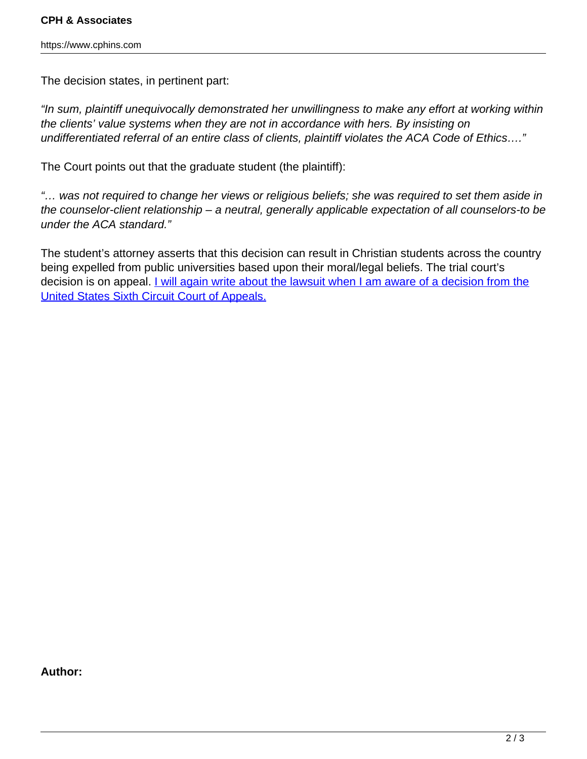The decision states, in pertinent part:

"In sum, plaintiff unequivocally demonstrated her unwillingness to make any effort at working within the clients' value systems when they are not in accordance with hers. By insisting on undifferentiated referral of an entire class of clients, plaintiff violates the ACA Code of Ethics…."

The Court points out that the graduate student (the plaintiff):

"… was not required to change her views or religious beliefs; she was required to set them aside in the counselor-client relationship – a neutral, generally applicable expectation of all counselors-to be under the ACA standard."

The student's attorney asserts that this decision can result in Christian students across the country being expelled from public universities based upon their moral/legal beliefs. The trial court's decision is on appeal. *I will again write about the lawsuit when I am aware of a decision from the* [United States Sixth Circuit Court of Appeals.](http://www.cphins.com/discrimination-and-ethics-revisited/)

**Author:**